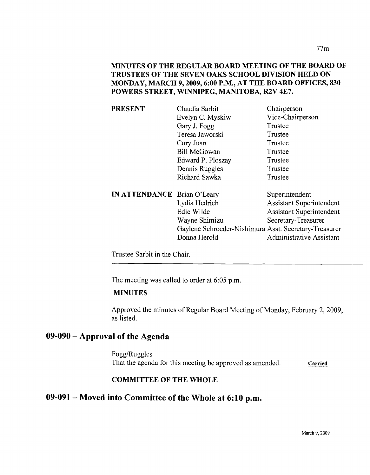MINUTES OF THE REGULAR BOARD MEETING OF THE BOARD OF TRUSTEES OF THE SEVEN OAKS SCHOOL DIVISION HELD ON MONDAY, MARCH 9, 2009, 6:00 P.M., AT THE BOARD OFFICES, 830 POWERS STREET, WINNIPEG, MANITOBA, R2V 4E7.

| <b>Assistant Superintendent</b>                       |
|-------------------------------------------------------|
| <b>Assistant Superintendent</b>                       |
|                                                       |
| Gaylene Schroeder-Nishimura Asst. Secretary-Treasurer |
| <b>Administrative Assistant</b>                       |
|                                                       |

Trustee Sarbit in the Chair.

The meeting was called to order at 6:05 p.m.

### MINUTES

Approved the minutes of Regular Board Meeting of Monday, February 2,2009, as listed.

# 09-090 - Approval of the Agenda

Fogg/Ruggles That the agenda for this meeting be approved as amended. Carried

### COMMITTEE OF THE WHOLE

# 09-091- Moved into Committee of the Whole at 6:10 p.m.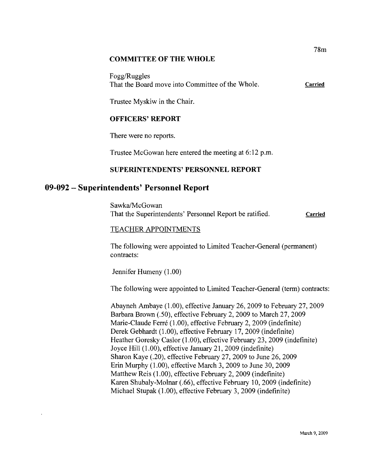#### **COMMITTEE OF THE WHOLE**

Fogg/Ruggles That the Board move into Committee of the Whole. Carried

Trustee Myskiw in the Chair.

### **OFFICERS' REPORT**

There were no reports.

Trustee McGowan here entered the meeting at 6:12 p.m.

### **SUPERINTENDENTS' PERSONNEL REPORT**

## **09-092 - Superintendents' Personnel Report**

Sawka/McGowan That the Superintendents' Personnel Report be ratified. **Carried** 

### TEACHER APPOINTMENTS

The following were appointed to Limited Teacher-General (permanent) contracts:

Jennifer Humeny (1.00)

The following were appointed to Limited Teacher-General (term) contracts:

Abayneh Ambaye (1.00), effective January 26, 2009 to February 27, 2009 Barbara Brown (.50), effective February 2, 2009 to March 27, 2009 Marie-Claude Ferré (1.00), effective February 2, 2009 (indefinite) Derek Gebhardt (1.00), effective February 17,2009 (indefinite) Heather Goresky Caslor (1.00), effective February 23, 2009 (indefinite) Joyce Hill (1.00), effective January 21,2009 (indefinite) Sharon Kaye (.20), effective February 27, 2009 to June 26, 2009 Erin Murphy (1.00), effective March 3,2009 to June 30, 2009 Matthew Reis (1.00), effective February 2, 2009 (indefinite) Karen Shubaly-Molnar (.66), effective February 10,2009 (indefinite) Michael Stupak (1.00), effective February 3, 2009 (indefinite)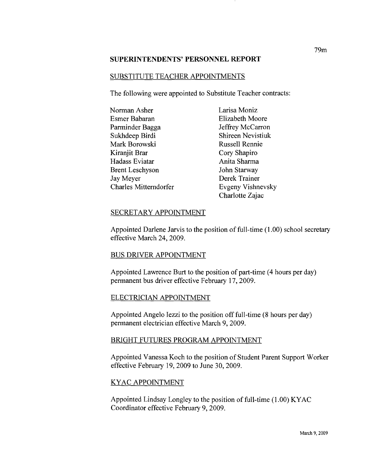#### **SUPERINTENDENTS' PERSONNEL REPORT**

#### SUBSTITUTE TEACHER APPOINTMENTS

The following were appointed to Substitute Teacher contracts:

| Norman Asher           | Larisa Moniz             |
|------------------------|--------------------------|
| Esmer Babaran          | Elizabeth Moore          |
| Parminder Bagga        | Jeffrey McCarron         |
| Sukhdeep Birdi         | <b>Shireen Nevistiuk</b> |
| Mark Borowski          | <b>Russell Rennie</b>    |
| Kiranjit Brar          | Cory Shapiro             |
| Hadass Eviatar         | Anita Sharma             |
| <b>Brent Leschyson</b> | John Starway             |
| Jay Meyer              | Derek Trainer            |
| Charles Mitterndorfer  | Evgeny Vishnevsky        |

### SECRETARY APPOINTMENT

Appointed Darlene Jarvis to the position of full-time (1.00) school secretary effective March 24, 2009.

Charlotte Zajac

### BUS DRIVER APPOINTMENT

Appointed Lawrence Burt to the position of part-time (4 hours per day) permanent bus driver effective February 17,2009.

#### ELECTRICIAN APPOINTMENT

Appointed Angelo Iezzi to the position off full-time (8 hours per day) permanent electrician effective March 9,2009.

#### BRIGHT FUTURES PROGRAM APPOINTMENT

Appointed Vanessa Koch to the position of Student Parent Support Worker effective February 19,2009 to June 30,2009.

### KYAC APPOINTMENT

Appointed Lindsay Longley to the position of full-time  $(1.00)$  KYAC Coordinator effective February 9, 2009.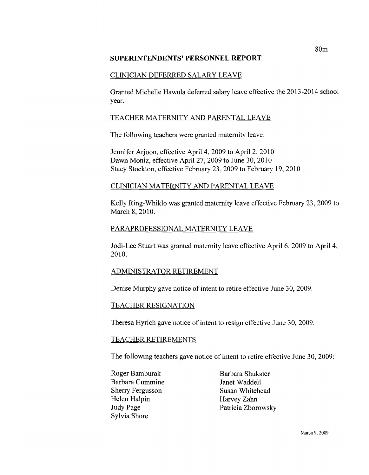### **SUPERINTENDENTS' PERSONNEL REPORT**

### CLINICIAN DEFERRED SALARY LEAVE

Granted Michelle Hawula deferred salary leave effective the 2013-2014 school year.

### TEACHER MATERNITY AND PARENTAL LEAVE

The following teachers were granted maternity leave:

Jennifer Arjoon, effective April 4, 2009 to April 2, 2010 Dawn Moniz, effective April 27, 2009 to June 30, 2010 Stacy Stockton, effective February 23, 2009 to February 19,2010

### CLINICIAN MATERNITY AND PARENTAL LEAVE

Kelly Ring-Whiklo was granted maternity leave effective February 23, 2009 to March 8, 2010.

### PARAPROFESSIONAL MATERNITY LEAVE

Jodi-Lee Stuart was granted maternity leave effective April 6, 2009 to April 4, 2010.

### ADMINISTRATOR RETIREMENT

Denise Murphy gave notice of intent to retire effective June 30, 2009.

### TEACHER RESIGNATION

Theresa Hyrich gave notice of intent to resign effective June 30, 2009.

### TEACHER RETIREMENTS

The following teachers gave notice of intent to retire effective June 30, 2009:

- Roger Bamburak Barbara Shukster Barbara Cummine Janet Waddell Sherry Fergusson Susan Whitehead Helen Halpin Harvey Zahn Sylvia Shore
- Judy Page Patricia Zborowsky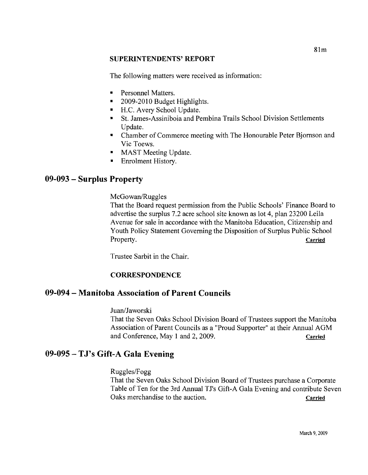### **SUPERINTENDENTS'REPORT**

The following matters were received as information:

- Personnel Matters.
- 2009-2010 Budget Highlights.
- H.C. Avery School Update.
- St. James-Assiniboia and Pembina Trails School Division Settlements Update.
- Chamber of Commerce meeting with The Honourable Peter Bjornson and Vic Toews.
- **MAST Meeting Update.**
- **•** Enrolment History.

# **09-093 - Surplus Property**

McGowan/Ruggles

That the Board request permission from the Public Schools' Finance Board to advertise the surplus 7.2 acre school site known as lot 4, plan 23200 Leila Avenue for sale in accordance with the Manitoba Education, Citizenship and Youth Policy Statement Governing the Disposition of Surplus Public School Property. Carried

Trustee Sarbit in the Chair.

## **CORRESPONDENCE**

## **09-094 - Manitoba Association of Parent Councils**

Juan/Jaworski

That the Seven Oaks School Division Board of Trustees support the Manitoba Association of Parent Councils as a "Proud Supporter" at their Annual AGM and Conference, May 1 and 2, 2009. Carried

## **09-095 - TJ's Gift-A Gala Evening**

Ruggles/Fogg

That the Seven Oaks School Division Board of Trustees purchase a Corporate Table of Ten for the 3rd Annual TJ's Gift-A Gala Evening and contribute Seven Oaks merchandise to the auction. Carried Carried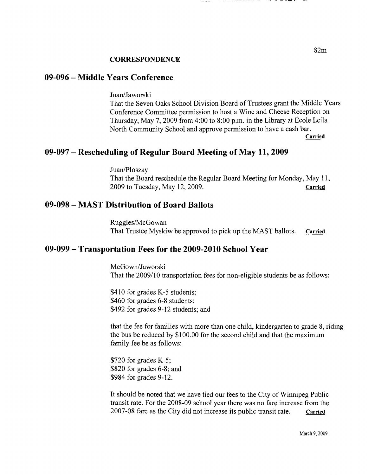## **09-096 - Middle Years Conference**

Juan/Jaworski

That the Seven Oaks School Division Board of Trustees grant the Middle Years Conference Committee permission to host a Wine and Cheese Reception on Thursday, May 7, 2009 from 4:00 to 8:00 p.m. in the Library at Ecole Leila North Community School and approve permission to have a cash bar.

Carried

## **09-097 - Rescheduling of Regular Board Meeting of May 11, 2009**

Juan/Ploszay That the Board reschedule the Regular Board Meeting for Monday, May 11, 2009 to Tuesday, May 12,2009. Carried

## **09-098 - MAST Distribution of Board Ballots**

Ruggles/McGowan That Trustee Myskiw be approved to pick up the MAST ballots. Carried

## **09-099 - Transportation Fees for the 2009-2010 School Year**

McGown/Jaworski That the 2009/10 transportation fees for non-eligible students be as follows:

\$410 for grades K-5 students; \$460 for grades 6-8 students; \$492 for grades 9-12 students; and

that the fee for families with more than one child, kindergarten to grade 8, riding the bus be reduced by \$100.00 for the second child and that the maximum family fee be as follows:

\$720 for grades K-5; \$820 for grades 6-8; and \$984 for grades 9-12.

It should be noted that we have tied our fees to the City of Winnipeg Public transit rate. For the 2008-09 school year there was no fare increase from the 2007-08 fare as the City did not increase its public transit rate. Carried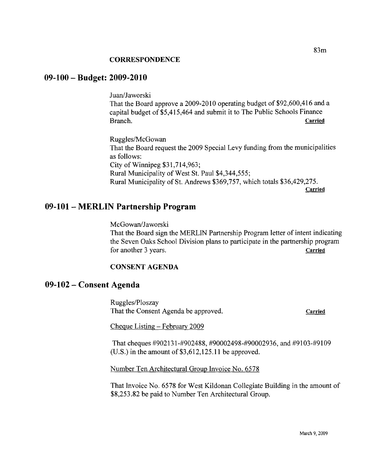# **09-100 - Budget: 2009-2010**

Juan/Jaworski

That the Board approve a 2009-2010 operating budget of \$92,600,416 and a capital budget of \$5,415,464 and submit it to The Public Schools Finance Branch. Carried Carried Contract of the Carried Carried Carried

Ruggles/McGowan That the Board request the 2009 Special Levy funding from the municipalities as follows: City of Winnipeg \$31,714,963; Rural Municipality of West St. Paul \$4,344,555; Rural Municipality of St. Andrews \$369,757, which totals \$36,429,275. Carried

# **09-101- MERLIN Partnership Program**

McGowan/Jaworski That the Board sign the MERLIN Partnership Program letter of intent indicating the Seven Oaks School Division plans to participate in the partnership program for another 3 years. Carried

### **CONSENT AGENDA**

## **09-102 - Consent Agenda**

Ruggles/Ploszay That the Consent Agenda be approved. Carried

Cheque Listing - February 2009

That cheques #902131-#902488, #90002498-#90002936, and #9103-#9109  $(U.S.)$  in the amount of \$3,612,125.11 be approved.

Number Ten Architectural Group Invoice No. 6578

That Invoice No. 6578 for West Kildonan Collegiate Building in the amount of \$8,253.82 be paid to Number Ten Architectural Group.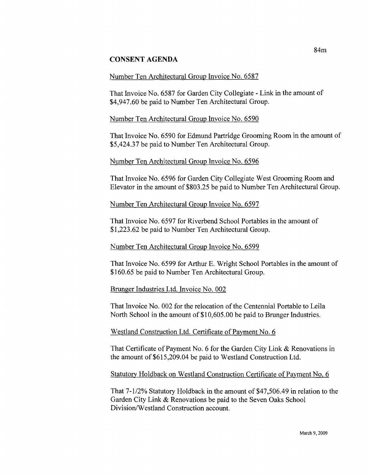### **CONSENT AGENDA**

### Number Ten Architectural Group Invoice No. 6587

That Invoice No. 6587 for Garden City Collegiate - Link in the amount of \$4,947.60 be paid to Number Ten Architectural Group.

### Number Ten Architectural Group Invoice No. 6590

That Invoice No. 6590 for Edmund Partridge Grooming Room in the amount of \$5,424.37 be paid to Number Ten Architectural Group.

### Number Ten Architectural Group Invoice No. 6596

That Invoice No. 6596 for Garden City Collegiate West Grooming Room and Elevator in the amount of \$803.25 be paid to Number Ten Architectural Group.

### Number Ten Architectural Group Invoice No. 6597

That Invoice No. 6597 for Riverbend School Portables in the amount of \$1,223.62 be paid to Number Ten Architectural Group.

### Number Ten Architectural Group Invoice No. 6599

That Invoice No. 6599 for Arthur E. Wright School Portables in the amount of \$160.65 be paid to Number Ten Architectural Group.

### Brunger Industries Ltd. Invoice No. 002

That Invoice No. 002 for the relocation of the Centennial Portable to Leila North School in the amount of \$10,605.00 be paid to Brunger Industries.

### Westland Construction Ltd. Certificate of Payment No. 6

That Certificate of Payment No. 6 for the Garden City Link & Renovations in the amount of \$615,209.04 be paid to Westland Construction Ltd.

### Statutory Holdback on Westland Construction Certificate of Payment No.6

That 7-1/2% Statutory Holdback in the amount of \$47,506.49 in relation to the Garden City Link & Renovations be paid to the Seven Oaks School Division/Westland Construction account.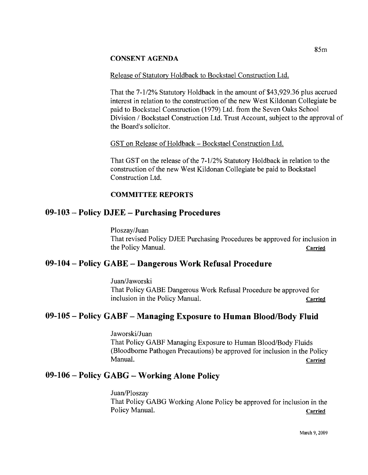### CONSENT AGENDA

### Release of Statutory Holdback to Bockstael Construction Ltd.

That the 7-1/2% Statutory Holdback in the amount of \$43,929.36 plus accrued interest in relation to the construction of the new West Kildonan Collegiate be paid to Bockstael Construction (1979) Ltd. from the Seven Oaks School Division / Bockstael Construction Ltd. Trust Account, subject to the approval of the Board's solicitor.

### GST on Release of Holdback - Bockstael Construction Ltd.

That GST on the release of the 7-1/2% Statutory Holdback in relation to the construction of the new West Kildonan Collegiate be paid to Bockstael Construction Ltd.

### **COMMITTEE REPORTS**

## **09-103 - Policy DJEE - Purchasing Procedures**

Ploszay/Juan That revised Policy DJEE Purchasing Procedures be approved for inclusion in the Policy Manual. Carried

# **09-104 - Policy GABE - Dangerous Work Refusal Procedure**

Juan/Jaworski That Policy GABE Dangerous Work Refusal Procedure be approved for inclusion in the Policy Manual. Carried

# **09-105 - Policy GABF - Managing Exposure to Human BloodlBody Fluid**

Jaworski/Juan That Policy GABF Managing Exposure to Human Blood/Body Fluids (Bloodbome Pathogen Precautions) be approved for inclusion in the Policy Manual. Carried and the contract of the contract of the contract of the contract of the contract of the contract of  $\mathbf{C}$  arried

# **09-106 - Policy GABG - Working Alone Policy**

Juan/Ploszay That Policy GABG Working Alone Policy be approved for inclusion in the Policy Manual. Carried Carried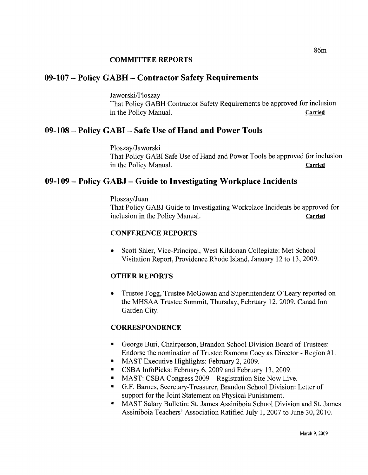### **COMMITTEE REPORTS**

# **09-107 - Policy GABH - Contractor Safety Requirements**

Jaworski/Ploszay That Policy GABH Contractor Safety Requirements be approved for inclusion in the Policy Manual. Carried

# **09-108 - Policy GABI - Safe Use** of Hand **and Power Tools**

Ploszay/Jaworski That Policy GABI Safe Use of Hand and Power Tools be approved for inclusion in the Policy Manual. Carried

# **09-109 - Policy GABJ - Guide to Investigating Workplace Incidents**

### Ploszay/Juan

That Policy GABJ Guide to Investigating Workplace Incidents be approved for inclusion in the Policy Manual. Carried

### CONFERENCE REPORTS

• Scott Shier, Vice-Principal, West Kildonan Collegiate: Met School Visitation Report, Providence Rhode Island, January 12 to 13,2009.

### **OTHER REPORTS**

• Trustee Fogg, Trustee McGowan and Superintendent O'Leary reported on the MHSAA Trustee Summit, Thursday, February 12,2009, Canad Inn Garden City.

### **CORRESPONDENCE**

- George Buri, Chairperson, Brandon School Division Board of Trustees: Endorse the nomination of Trustee Ramona Coey as Director - Region #1.
- MAST Executive Highlights: February 2, 2009.
- CSBA InfoPicks: February 6, 2009 and February 13, 2009.
- MAST: CSBA Congress 2009 Registration Site Now Live.
- G.F. Barnes, Secretary-Treasurer, Brandon School Division: Letter of support for the Joint Statement on Physical Punishment.
- • MAST Salary Bulletin: St. James Assiniboia School Division and St. James Assiniboia Teachers' Association Ratified July 1,2007 to June 30, 2010.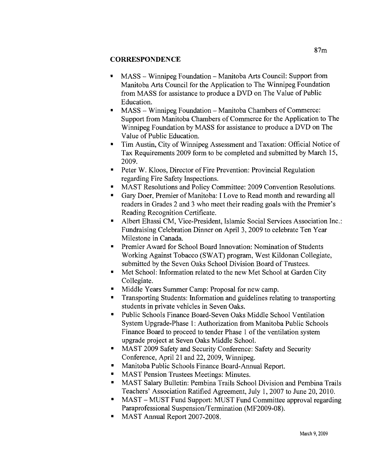- MASS Winnipeg Foundation Manitoba Arts Council: Support from Manitoba Arts Council for the Application to The Winnipeg Foundation from MASS for assistance to produce a DVD on The Value of Public Education.
- MASS Winnipeg Foundation Manitoba Chambers of Commerce: Support from Manitoba Chambers of Commerce for the Application to The Winnipeg Foundation by MASS for assistance to produce a DVD on The Value of Public Education.
- Tim Austin, City of Winnipeg Assessment and Taxation: Official Notice of Tax Requirements 2009 form to be completed and submitted by March 15, 2009.
- Peter W. Kloos, Director of Fire Prevention: Provincial Regulation regarding Fire Safety Inspections.
- MAST Resolutions and Policy Committee: 2009 Convention Resolutions.
- Gary Doer, Premier of Manitoba: I Love to Read month and rewarding all readers in Grades 2 and 3 who meet their reading goals with the Premier's Reading Recognition Certificate.
- Albert Eltassi CM, Vice-President, Islamic Social Services Association Inc.: Fundraising Celebration Dinner on April 3, 2009 to celebrate Ten Year Milestone in Canada.
- Premier Award for School Board Innovation: Nomination of Students Working Against Tobacco (SWAT) program, West Kildonan Collegiate, submitted by the Seven Oaks School Division Board of Trustees.
- Met School: Information related to the new Met School at Garden City Collegiate.
- Middle Years Summer Camp: Proposal for new camp.
- Transporting Students: Information and guidelines relating to transporting students in private vehicles in Seven Oaks.
- Public Schools Finance Board-Seven Oaks Middle School Ventilation System Upgrade-Phase 1: Authorization from Manitoba Public Schools Finance Board to proceed to tender Phase 1 of the ventilation system upgrade project at Seven Oaks Middle School.
- MAST 2009 Safety and Security Conference: Safety and Security Conference, April 21 and 22, 2009, Winnipeg.
- Manitoba Public Schools Finance Board-Annual Report.
- MAST Pension Trustees Meetings: Minutes.
- MAST Salary Bulletin: Pembina Trails School Division and Pembina Trails Teachers' Association Ratified Agreement, July 1,2007 to June 20,2010.
- MAST MUST Fund Support: MUST Fund Committee approval regarding Paraprofessional Suspension/Termination (MF2009-08).
- MAST Annual Report 2007-2008.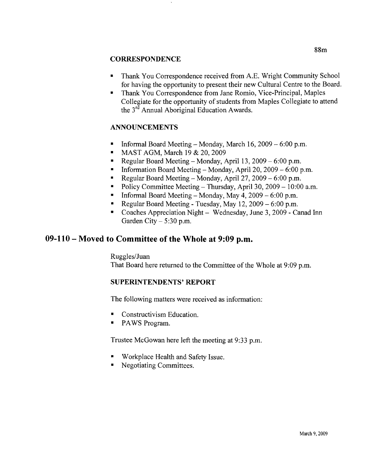- Thank You Correspondence received from A.E. Wright Community School for having the opportunity to present their new Cultural Centre to the Board.
- Thank You Correspondence from Jane Romio, Vice-Principal, Maples Collegiate for the opportunity of students from Maples Collegiate to attend the 3rd Annual Aboriginal Education Awards.

## **ANNOUNCEMENTS**

- Informal Board Meeting Monday, March 16, 2009 6:00 p.m.
- MAST AGM, March 19 & 20, 2009
- Regular Board Meeting Monday, April 13,  $2009 6:00$  p.m.
- Information Board Meeting Monday, April 20, 2009 6:00 p.m.
- Regular Board Meeting Monday, April  $27, 2009 6:00$  p.m.
- Policy Committee Meeting Thursday, April 30,  $2009 10:00$  a.m.
- Informal Board Meeting Monday, May 4,  $2009 6:00$  p.m.
- Regular Board Meeting Tuesday, May  $12,2009 6:00$  p.m.
- Coaches Appreciation Night Wednesday, June 3, 2009 Canad Inn Garden City  $-5:30$  p.m.

## **09-110 - Moved to Committee of the Whole at 9:09** p.m,

Ruggles/Juan That Board here returned to the Committee of the Whole at 9:09 p.m.

## SUPERINTENDENTS' REPORT

The following matters were received as information:

- Constructivism Education.
- PAWS Program.

Trustee McGowan here left the meeting at 9:33 p.m.

- Workplace Health and Safety Issue.
- Negotiating Committees.